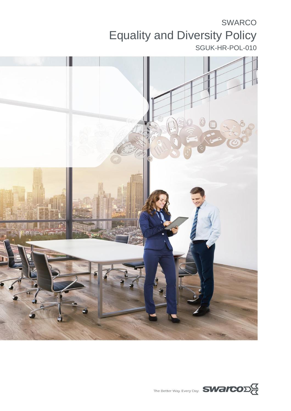# SWARCO Equality and Diversity Policy SGUK-HR-POL-010



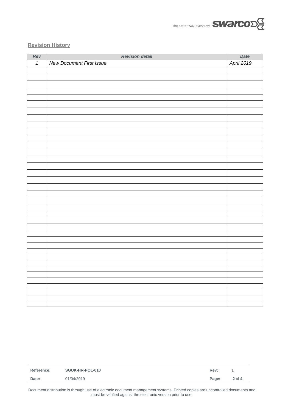

#### **Revision History**

| Rev            | <b>Revision detail</b>          | Date       |
|----------------|---------------------------------|------------|
| $\overline{1}$ | <b>New Document First Issue</b> | April 2019 |
|                |                                 |            |
|                |                                 |            |
|                |                                 |            |
|                |                                 |            |
|                |                                 |            |
|                |                                 |            |
|                |                                 |            |
|                |                                 |            |
|                |                                 |            |
|                |                                 |            |
|                |                                 |            |
|                |                                 |            |
|                |                                 |            |
|                |                                 |            |
|                |                                 |            |
|                |                                 |            |
|                |                                 |            |
|                |                                 |            |
|                |                                 |            |
|                |                                 |            |
|                |                                 |            |
|                |                                 |            |
|                |                                 |            |
|                |                                 |            |
|                |                                 |            |
|                |                                 |            |
|                |                                 |            |
|                |                                 |            |
|                |                                 |            |
|                |                                 |            |
|                |                                 |            |
|                |                                 |            |
|                |                                 |            |
|                |                                 |            |
|                |                                 |            |
|                |                                 |            |

| 01/04/2019<br>Date: | Reference: | SGUK-HR-POL-010 | Rev:  |        |
|---------------------|------------|-----------------|-------|--------|
|                     |            |                 | Page: | 2 of 4 |

Document distribution is through use of electronic document management systems. Printed copies are uncontrolled documents and must be verified against the electronic version prior to use.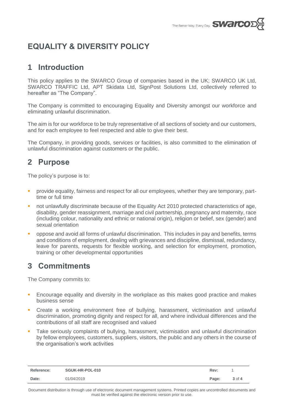

# **EQUALITY & DIVERSITY POLICY**

#### **1 Introduction**

This policy applies to the SWARCO Group of companies based in the UK; SWARCO UK Ltd, SWARCO TRAFFIC Ltd, APT Skidata Ltd, SignPost Solutions Ltd, collectively referred to hereafter as "The Company".

The Company is committed to encouraging Equality and Diversity amongst our workforce and eliminating unlawful discrimination.

The aim is for our workforce to be truly representative of all sections of society and our customers, and for each employee to feel respected and able to give their best.

The Company, in providing goods, services or facilities, is also committed to the elimination of unlawful discrimination against customers or the public.

### **2 Purpose**

The policy's purpose is to:

- **PED FIRM EXECT:** provide equality, fairness and respect for all our employees, whether they are temporary, parttime or full time
- not unlawfully discriminate because of the Equality Act 2010 protected characteristics of age, disability, gender reassignment, marriage and civil partnership, pregnancy and maternity, race (including colour, nationality and ethnic or national origin), religion or belief, sex (gender) and sexual orientation
- oppose and avoid all forms of unlawful discrimination. This includes in pay and benefits, terms and conditions of employment, dealing with grievances and discipline, dismissal, redundancy, leave for parents, requests for flexible working, and selection for employment, promotion, training or other developmental opportunities

## **3 Commitments**

The Company commits to:

- Encourage equality and diversity in the workplace as this makes good practice and makes business sense
- Create a working environment free of bullying, harassment, victimisation and unlawful discrimination, promoting dignity and respect for all, and where individual differences and the contributions of all staff are recognised and valued
- Take seriously complaints of bullying, harassment, victimisation and unlawful discrimination by fellow employees, customers, suppliers, visitors, the public and any others in the course of the organisation's work activities

| <b>Reference:</b> | SGUK-HR-POL-010 | Rev:  |        |
|-------------------|-----------------|-------|--------|
| Date:             | 01/04/2019      | Page: | 3 of 4 |

Document distribution is through use of electronic document management systems. Printed copies are uncontrolled documents and must be verified against the electronic version prior to use.